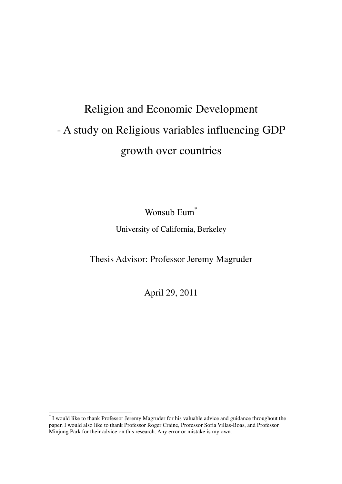# Religion and Economic Development - A study on Religious variables influencing GDP growth over countries

Wonsub Eum<sup>\*</sup> University of California, Berkeley

Thesis Advisor: Professor Jeremy Magruder

April 29, 2011

ı

<sup>\*</sup> I would like to thank Professor Jeremy Magruder for his valuable advice and guidance throughout the paper. I would also like to thank Professor Roger Craine, Professor Sofia Villas-Boas, and Professor Minjung Park for their advice on this research. Any error or mistake is my own.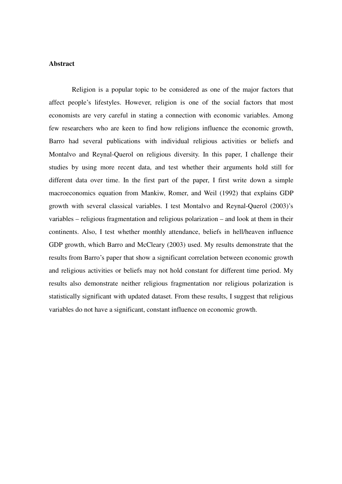### **Abstract**

 Religion is a popular topic to be considered as one of the major factors that affect people's lifestyles. However, religion is one of the social factors that most economists are very careful in stating a connection with economic variables. Among few researchers who are keen to find how religions influence the economic growth, Barro had several publications with individual religious activities or beliefs and Montalvo and Reynal-Querol on religious diversity. In this paper, I challenge their studies by using more recent data, and test whether their arguments hold still for different data over time. In the first part of the paper, I first write down a simple macroeconomics equation from Mankiw, Romer, and Weil (1992) that explains GDP growth with several classical variables. I test Montalvo and Reynal-Querol (2003)'s variables – religious fragmentation and religious polarization – and look at them in their continents. Also, I test whether monthly attendance, beliefs in hell/heaven influence GDP growth, which Barro and McCleary (2003) used. My results demonstrate that the results from Barro's paper that show a significant correlation between economic growth and religious activities or beliefs may not hold constant for different time period. My results also demonstrate neither religious fragmentation nor religious polarization is statistically significant with updated dataset. From these results, I suggest that religious variables do not have a significant, constant influence on economic growth.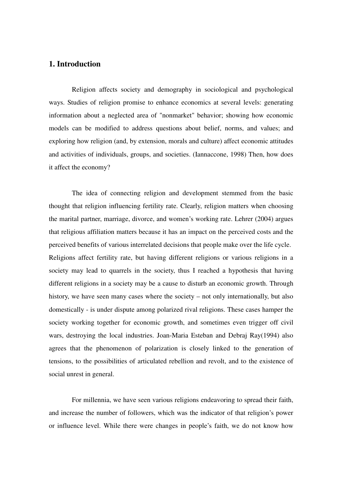# **1. Introduction**

 Religion affects society and demography in sociological and psychological ways. Studies of religion promise to enhance economics at several levels: generating information about a neglected area of "nonmarket" behavior; showing how economic models can be modified to address questions about belief, norms, and values; and exploring how religion (and, by extension, morals and culture) affect economic attitudes and activities of individuals, groups, and societies. (Iannaccone, 1998) Then, how does it affect the economy?

 The idea of connecting religion and development stemmed from the basic thought that religion influencing fertility rate. Clearly, religion matters when choosing the marital partner, marriage, divorce, and women's working rate. Lehrer (2004) argues that religious affiliation matters because it has an impact on the perceived costs and the perceived benefits of various interrelated decisions that people make over the life cycle. Religions affect fertility rate, but having different religions or various religions in a society may lead to quarrels in the society, thus I reached a hypothesis that having different religions in a society may be a cause to disturb an economic growth. Through history, we have seen many cases where the society – not only internationally, but also domestically - is under dispute among polarized rival religions. These cases hamper the society working together for economic growth, and sometimes even trigger off civil wars, destroying the local industries. Joan-Maria Esteban and Debraj Ray(1994) also agrees that the phenomenon of polarization is closely linked to the generation of tensions, to the possibilities of articulated rebellion and revolt, and to the existence of social unrest in general.

 For millennia, we have seen various religions endeavoring to spread their faith, and increase the number of followers, which was the indicator of that religion's power or influence level. While there were changes in people's faith, we do not know how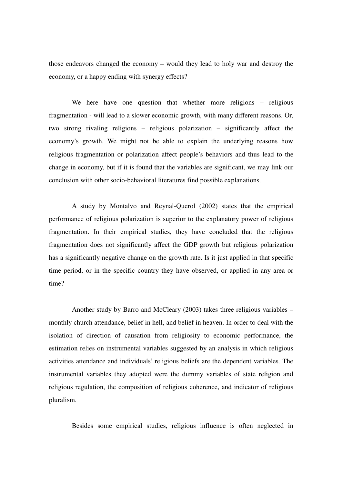those endeavors changed the economy – would they lead to holy war and destroy the economy, or a happy ending with synergy effects?

We here have one question that whether more religions – religious fragmentation - will lead to a slower economic growth, with many different reasons. Or, two strong rivaling religions – religious polarization – significantly affect the economy's growth. We might not be able to explain the underlying reasons how religious fragmentation or polarization affect people's behaviors and thus lead to the change in economy, but if it is found that the variables are significant, we may link our conclusion with other socio-behavioral literatures find possible explanations.

 A study by Montalvo and Reynal-Querol (2002) states that the empirical performance of religious polarization is superior to the explanatory power of religious fragmentation. In their empirical studies, they have concluded that the religious fragmentation does not significantly affect the GDP growth but religious polarization has a significantly negative change on the growth rate. Is it just applied in that specific time period, or in the specific country they have observed, or applied in any area or time?

 Another study by Barro and McCleary (2003) takes three religious variables – monthly church attendance, belief in hell, and belief in heaven. In order to deal with the isolation of direction of causation from religiosity to economic performance, the estimation relies on instrumental variables suggested by an analysis in which religious activities attendance and individuals' religious beliefs are the dependent variables. The instrumental variables they adopted were the dummy variables of state religion and religious regulation, the composition of religious coherence, and indicator of religious pluralism.

Besides some empirical studies, religious influence is often neglected in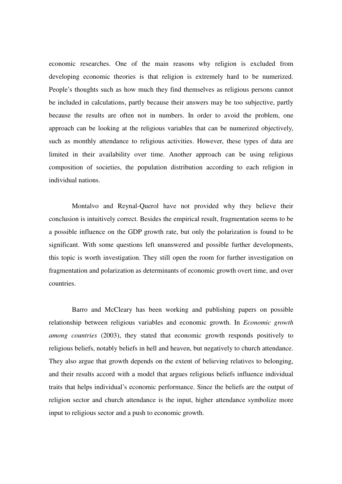economic researches. One of the main reasons why religion is excluded from developing economic theories is that religion is extremely hard to be numerized. People's thoughts such as how much they find themselves as religious persons cannot be included in calculations, partly because their answers may be too subjective, partly because the results are often not in numbers. In order to avoid the problem, one approach can be looking at the religious variables that can be numerized objectively, such as monthly attendance to religious activities. However, these types of data are limited in their availability over time. Another approach can be using religious composition of societies, the population distribution according to each religion in individual nations.

 Montalvo and Reynal-Querol have not provided why they believe their conclusion is intuitively correct. Besides the empirical result, fragmentation seems to be a possible influence on the GDP growth rate, but only the polarization is found to be significant. With some questions left unanswered and possible further developments, this topic is worth investigation. They still open the room for further investigation on fragmentation and polarization as determinants of economic growth overt time, and over countries.

 Barro and McCleary has been working and publishing papers on possible relationship between religious variables and economic growth. In *Economic growth among countries* (2003), they stated that economic growth responds positively to religious beliefs, notably beliefs in hell and heaven, but negatively to church attendance. They also argue that growth depends on the extent of believing relatives to belonging, and their results accord with a model that argues religious beliefs influence individual traits that helps individual's economic performance. Since the beliefs are the output of religion sector and church attendance is the input, higher attendance symbolize more input to religious sector and a push to economic growth.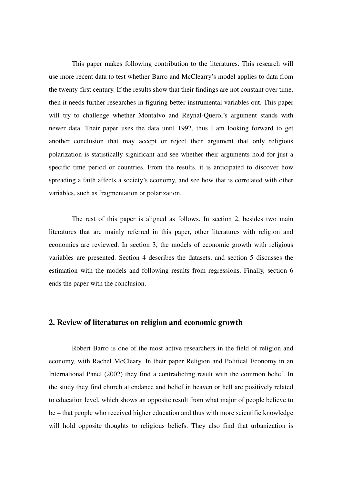This paper makes following contribution to the literatures. This research will use more recent data to test whether Barro and McClearry's model applies to data from the twenty-first century. If the results show that their findings are not constant over time, then it needs further researches in figuring better instrumental variables out. This paper will try to challenge whether Montalvo and Reynal-Querol's argument stands with newer data. Their paper uses the data until 1992, thus I am looking forward to get another conclusion that may accept or reject their argument that only religious polarization is statistically significant and see whether their arguments hold for just a specific time period or countries. From the results, it is anticipated to discover how spreading a faith affects a society's economy, and see how that is correlated with other variables, such as fragmentation or polarization.

The rest of this paper is aligned as follows. In section 2, besides two main literatures that are mainly referred in this paper, other literatures with religion and economics are reviewed. In section 3, the models of economic growth with religious variables are presented. Section 4 describes the datasets, and section 5 discusses the estimation with the models and following results from regressions. Finally, section 6 ends the paper with the conclusion.

## **2. Review of literatures on religion and economic growth**

 Robert Barro is one of the most active researchers in the field of religion and economy, with Rachel McCleary. In their paper Religion and Political Economy in an International Panel (2002) they find a contradicting result with the common belief. In the study they find church attendance and belief in heaven or hell are positively related to education level, which shows an opposite result from what major of people believe to be – that people who received higher education and thus with more scientific knowledge will hold opposite thoughts to religious beliefs. They also find that urbanization is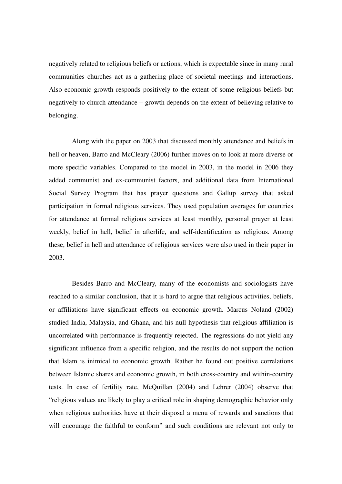negatively related to religious beliefs or actions, which is expectable since in many rural communities churches act as a gathering place of societal meetings and interactions. Also economic growth responds positively to the extent of some religious beliefs but negatively to church attendance – growth depends on the extent of believing relative to belonging.

 Along with the paper on 2003 that discussed monthly attendance and beliefs in hell or heaven, Barro and McCleary (2006) further moves on to look at more diverse or more specific variables. Compared to the model in 2003, in the model in 2006 they added communist and ex-communist factors, and additional data from International Social Survey Program that has prayer questions and Gallup survey that asked participation in formal religious services. They used population averages for countries for attendance at formal religious services at least monthly, personal prayer at least weekly, belief in hell, belief in afterlife, and self-identification as religious. Among these, belief in hell and attendance of religious services were also used in their paper in 2003.

 Besides Barro and McCleary, many of the economists and sociologists have reached to a similar conclusion, that it is hard to argue that religious activities, beliefs, or affiliations have significant effects on economic growth. Marcus Noland (2002) studied India, Malaysia, and Ghana, and his null hypothesis that religious affiliation is uncorrelated with performance is frequently rejected. The regressions do not yield any significant influence from a specific religion, and the results do not support the notion that Islam is inimical to economic growth. Rather he found out positive correlations between Islamic shares and economic growth, in both cross-country and within-country tests. In case of fertility rate, McQuillan (2004) and Lehrer (2004) observe that "religious values are likely to play a critical role in shaping demographic behavior only when religious authorities have at their disposal a menu of rewards and sanctions that will encourage the faithful to conform" and such conditions are relevant not only to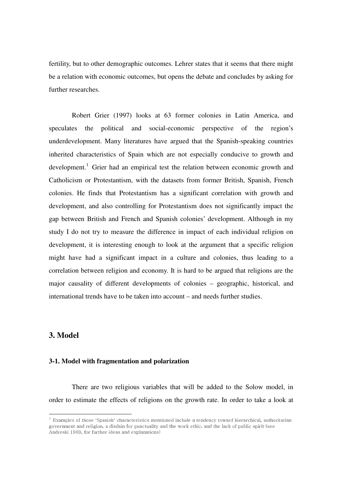fertility, but to other demographic outcomes. Lehrer states that it seems that there might be a relation with economic outcomes, but opens the debate and concludes by asking for further researches.

 Robert Grier (1997) looks at 63 former colonies in Latin America, and speculates the political and social-economic perspective of the region's underdevelopment. Many literatures have argued that the Spanish-speaking countries inherited characteristics of Spain which are not especially conducive to growth and development.<sup>1</sup> Grier had an empirical test the relation between economic growth and Catholicism or Protestantism, with the datasets from former British, Spanish, French colonies. He finds that Protestantism has a significant correlation with growth and development, and also controlling for Protestantism does not significantly impact the gap between British and French and Spanish colonies' development. Although in my study I do not try to measure the difference in impact of each individual religion on development, it is interesting enough to look at the argument that a specific religion might have had a significant impact in a culture and colonies, thus leading to a correlation between religion and economy. It is hard to be argued that religions are the major causality of different developments of colonies – geographic, historical, and international trends have to be taken into account – and needs further studies.

## **3. Model**

ı

## **3-1. Model with fragmentation and polarization**

 There are two religious variables that will be added to the Solow model, in order to estimate the effects of religions on the growth rate. In order to take a look at

 $^{\rm 1}$  Examples of those 'Spanish' characteristics mentioned include a tendency toward hierarchical, authoritarian government and religion, a disdain for punctuality and the work ethic, and the lack of public spirit (see Andreski 1969, for further ideas and explanations)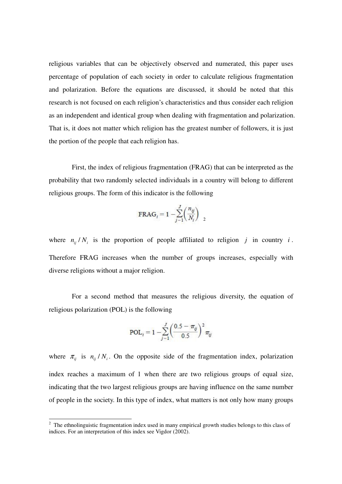religious variables that can be objectively observed and numerated, this paper uses percentage of population of each society in order to calculate religious fragmentation and polarization. Before the equations are discussed, it should be noted that this research is not focused on each religion's characteristics and thus consider each religion as an independent and identical group when dealing with fragmentation and polarization. That is, it does not matter which religion has the greatest number of followers, it is just the portion of the people that each religion has.

 First, the index of religious fragmentation (FRAG) that can be interpreted as the probability that two randomly selected individuals in a country will belong to different religious groups. The form of this indicator is the following

$$
\text{FRAG}_i = 1 - \sum_{j=1}^{J} \left( \frac{n_{ij}}{N_i} \right)_{2}
$$

where  $n_{ij} / N_i$  is the proportion of people affiliated to religion *j* in country *i*. Therefore FRAG increases when the number of groups increases, especially with diverse religions without a major religion.

 For a second method that measures the religious diversity, the equation of religious polarization (POL) is the following

$$
\text{POL}_{i} = 1 - \sum_{j=1}^{J} \left( \frac{0.5 - \pi_{ij}}{0.5} \right)^2 \pi_{ij}
$$

where  $\pi_{ij}$  is  $n_{ij}/N_i$ . On the opposite side of the fragmentation index, polarization index reaches a maximum of 1 when there are two religious groups of equal size, indicating that the two largest religious groups are having influence on the same number of people in the society. In this type of index, what matters is not only how many groups

ı

 $2$  The ethnolinguistic fragmentation index used in many empirical growth studies belongs to this class of indices. For an interpretation of this index see Vigdor (2002).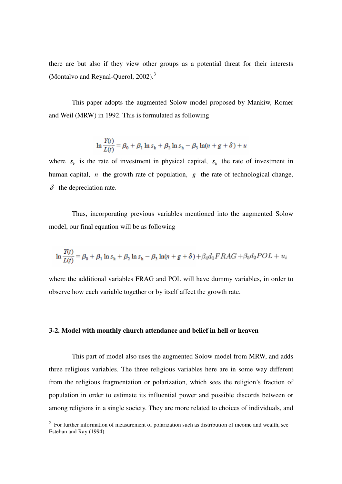there are but also if they view other groups as a potential threat for their interests (Montalvo and Reynal-Querol, 2002).<sup>3</sup>

 This paper adopts the augmented Solow model proposed by Mankiw, Romer and Weil (MRW) in 1992. This is formulated as following

$$
\ln \frac{Y(t)}{L(t)} = \beta_0 + \beta_1 \ln s_k + \beta_2 \ln s_h - \beta_3 \ln(n + g + \delta) + u
$$

where  $s_k$  is the rate of investment in physical capital,  $s_h$  the rate of investment in human capital, *n* the growth rate of population, *g* the rate of technological change,  $\delta$  the depreciation rate.

 Thus, incorporating previous variables mentioned into the augmented Solow model, our final equation will be as following

$$
\ln \frac{Y(t)}{L(t)} = \beta_0 + \beta_1 \ln s_k + \beta_2 \ln s_h - \beta_3 \ln(n + g + \delta) + \beta_4 d_1 FRAG + \beta_5 d_2 POL + u_i
$$

where the additional variables FRAG and POL will have dummy variables, in order to observe how each variable together or by itself affect the growth rate.

#### **3-2. Model with monthly church attendance and belief in hell or heaven**

l,

 This part of model also uses the augmented Solow model from MRW, and adds three religious variables. The three religious variables here are in some way different from the religious fragmentation or polarization, which sees the religion's fraction of population in order to estimate its influential power and possible discords between or among religions in a single society. They are more related to choices of individuals, and

 $3$  For further information of measurement of polarization such as distribution of income and wealth, see Esteban and Ray (1994).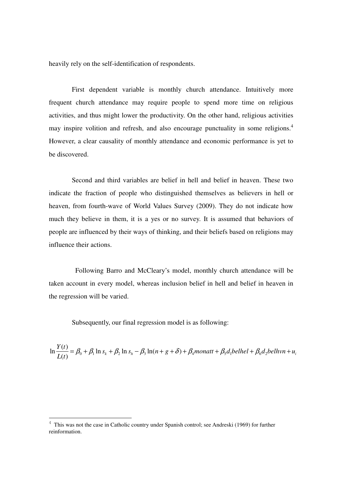heavily rely on the self-identification of respondents.

 First dependent variable is monthly church attendance. Intuitively more frequent church attendance may require people to spend more time on religious activities, and thus might lower the productivity. On the other hand, religious activities may inspire volition and refresh, and also encourage punctuality in some religions.<sup>4</sup> However, a clear causality of monthly attendance and economic performance is yet to be discovered.

 Second and third variables are belief in hell and belief in heaven. These two indicate the fraction of people who distinguished themselves as believers in hell or heaven, from fourth-wave of World Values Survey (2009). They do not indicate how much they believe in them, it is a yes or no survey. It is assumed that behaviors of people are influenced by their ways of thinking, and their beliefs based on religions may influence their actions.

 Following Barro and McCleary's model, monthly church attendance will be taken account in every model, whereas inclusion belief in hell and belief in heaven in the regression will be varied.

Subsequently, our final regression model is as following:

$$
\ln \frac{Y(t)}{L(t)} = \beta_0 + \beta_1 \ln s_k + \beta_2 \ln s_h - \beta_3 \ln(n + g + \delta) + \beta_4 m onatt + \beta_5 d_1 bellhel + \beta_6 d_2 bellwn + u_i
$$

l,

<sup>&</sup>lt;sup>4</sup> This was not the case in Catholic country under Spanish control; see Andreski (1969) for further reinformation.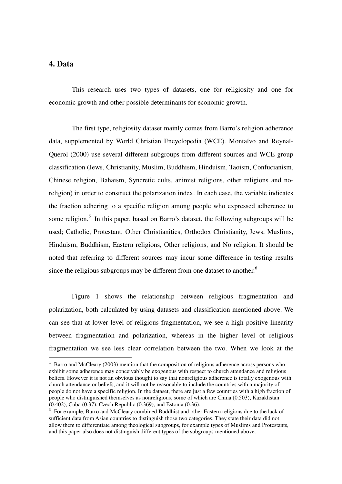## **4. Data**

ı

 This research uses two types of datasets, one for religiosity and one for economic growth and other possible determinants for economic growth.

 The first type, religiosity dataset mainly comes from Barro's religion adherence data, supplemented by World Christian Encyclopedia (WCE). Montalvo and Reynal-Querol (2000) use several different subgroups from different sources and WCE group classification (Jews, Christianity, Muslim, Buddhism, Hinduism, Taoism, Confucianism, Chinese religion, Bahaism, Syncretic cults, animist religions, other religions and noreligion) in order to construct the polarization index. In each case, the variable indicates the fraction adhering to a specific religion among people who expressed adherence to some religion.<sup>5</sup> In this paper, based on Barro's dataset, the following subgroups will be used; Catholic, Protestant, Other Christianities, Orthodox Christianity, Jews, Muslims, Hinduism, Buddhism, Eastern religions, Other religions, and No religion. It should be noted that referring to different sources may incur some difference in testing results since the religious subgroups may be different from one dataset to another.<sup>6</sup>

 Figure 1 shows the relationship between religious fragmentation and polarization, both calculated by using datasets and classification mentioned above. We can see that at lower level of religious fragmentation, we see a high positive linearity between fragmentation and polarization, whereas in the higher level of religious fragmentation we see less clear correlation between the two. When we look at the

 $5$  Barro and McCleary (2003) mention that the composition of religious adherence across persons who exhibit some adherence may conceivably be exogenous with respect to church attendance and religious beliefs. However it is not an obvious thought to say that nonreligious adherence is totally exogenous with church attendance or beliefs, and it will not be reasonable to include the countries with a majority of people do not have a specific religion. In the dataset, there are just a few countries with a high fraction of people who distinguished themselves as nonreligious, some of which are China (0.503), Kazakhstan (0.402), Cuba (0.37), Czech Republic (0.369), and Estonia (0.36).

 $6$  For example, Barro and McCleary combined Buddhist and other Eastern religions due to the lack of sufficient data from Asian countries to distinguish those two categories. They state their data did not allow them to differentiate among theological subgroups, for example types of Muslims and Protestants, and this paper also does not distinguish different types of the subgroups mentioned above.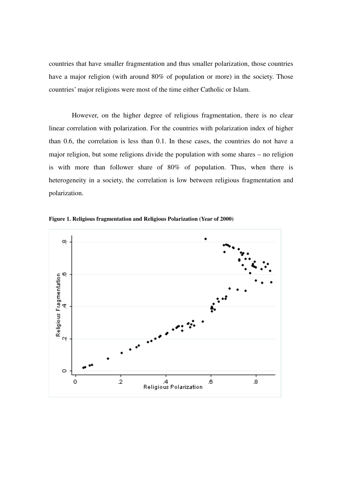countries that have smaller fragmentation and thus smaller polarization, those countries have a major religion (with around 80% of population or more) in the society. Those countries' major religions were most of the time either Catholic or Islam.

 However, on the higher degree of religious fragmentation, there is no clear linear correlation with polarization. For the countries with polarization index of higher than 0.6, the correlation is less than 0.1. In these cases, the countries do not have a major religion, but some religions divide the population with some shares – no religion is with more than follower share of 80% of population. Thus, when there is heterogeneity in a society, the correlation is low between religious fragmentation and polarization.



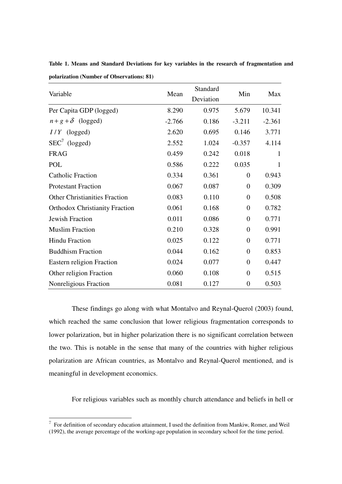|                                       |          | Standard  |                  |          |
|---------------------------------------|----------|-----------|------------------|----------|
| Variable                              | Mean     | Deviation | Min              | Max      |
| Per Capita GDP (logged)               | 8.290    | 0.975     | 5.679            | 10.341   |
| $n+g+\delta$ (logged)                 | $-2.766$ | 0.186     | $-3.211$         | $-2.361$ |
| $I/Y$ (logged)                        | 2.620    | 0.695     | 0.146            | 3.771    |
| $SEC'$ (logged)                       | 2.552    | 1.024     | $-0.357$         | 4.114    |
| <b>FRAG</b>                           | 0.459    | 0.242     | 0.018            | 1        |
| POL                                   | 0.586    | 0.222     | 0.035            | 1        |
| <b>Catholic Fraction</b>              | 0.334    | 0.361     | $\overline{0}$   | 0.943    |
| <b>Protestant Fraction</b>            | 0.067    | 0.087     | $\overline{0}$   | 0.309    |
| <b>Other Christianities Fraction</b>  | 0.083    | 0.110     | $\overline{0}$   | 0.508    |
| <b>Orthodox Christianity Fraction</b> | 0.061    | 0.168     | $\Omega$         | 0.782    |
| <b>Jewish Fraction</b>                | 0.011    | 0.086     | $\Omega$         | 0.771    |
| <b>Muslim Fraction</b>                | 0.210    | 0.328     | $\theta$         | 0.991    |
| <b>Hindu Fraction</b>                 | 0.025    | 0.122     | $\overline{0}$   | 0.771    |
| <b>Buddhism Fraction</b>              | 0.044    | 0.162     | $\overline{0}$   | 0.853    |
| Eastern religion Fraction             | 0.024    | 0.077     | $\overline{0}$   | 0.447    |
| Other religion Fraction               | 0.060    | 0.108     | $\overline{0}$   | 0.515    |
| Nonreligious Fraction                 | 0.081    | 0.127     | $\boldsymbol{0}$ | 0.503    |

**Table 1. Means and Standard Deviations for key variables in the research of fragmentation and polarization (Number of Observations: 81)** 

 These findings go along with what Montalvo and Reynal-Querol (2003) found, which reached the same conclusion that lower religious fragmentation corresponds to lower polarization, but in higher polarization there is no significant correlation between the two. This is notable in the sense that many of the countries with higher religious polarization are African countries, as Montalvo and Reynal-Querol mentioned, and is meaningful in development economics.

For religious variables such as monthly church attendance and beliefs in hell or

l,

 $7$  For definition of secondary education attainment, I used the definition from Mankiw, Romer, and Weil (1992), the average percentage of the working-age population in secondary school for the time period.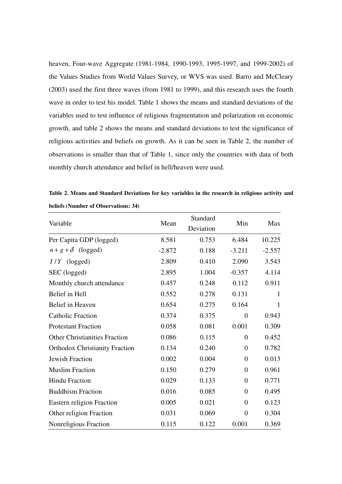heaven, Four-wave Aggregate (1981-1984, 1990-1993, 1995-1997, and 1999-2002) of the Values Studies from World Values Survey, or WVS was used. Barro and McCleary (2003) used the first three waves (from 1981 to 1999), and this research uses the fourth wave in order to test his model. Table 1 shows the means and standard deviations of the variables used to test influence of religious fragmentation and polarization on economic growth, and table 2 shows the means and standard deviations to test the significance of religious activities and beliefs on growth. As it can be seen in Table 2, the number of observations is smaller than that of Table 1, since only the countries with data of both monthly church attendance and belief in hell/heaven were used.

**Table 2. Means and Standard Deviations for key variables in the research in religious activity and beliefs (Number of Observations: 34)** 

|                                       |          | Standard  |                  |              |
|---------------------------------------|----------|-----------|------------------|--------------|
| Variable                              | Mean     | Deviation | Min              | Max          |
| Per Capita GDP (logged)               | 8.581    | 0.753     | 6.484            | 10.225       |
| $n+g+\delta$ (logged)                 | $-2.872$ | 0.188     | $-3.211$         | $-2.557$     |
| $I/Y$ (logged)                        | 2.809    | 0.410     | 2.090            | 3.543        |
| SEC (logged)                          | 2.895    | 1.004     | $-0.357$         | 4.114        |
| Monthly church attendance             | 0.457    | 0.248     | 0.112            | 0.911        |
| Belief in Hell                        | 0.552    | 0.278     | 0.131            | $\mathbf{1}$ |
| Belief in Heaven                      | 0.654    | 0.275     | 0.164            | $\mathbf{1}$ |
| <b>Catholic Fraction</b>              | 0.374    | 0.375     | $\overline{0}$   | 0.943        |
| <b>Protestant Fraction</b>            | 0.058    | 0.081     | 0.001            | 0.309        |
| <b>Other Christianities Fraction</b>  | 0.086    | 0.115     | $\overline{0}$   | 0.452        |
| <b>Orthodox Christianity Fraction</b> | 0.134    | 0.240     | $\overline{0}$   | 0.782        |
| Jewish Fraction                       | 0.002    | 0.004     | $\boldsymbol{0}$ | 0.013        |
| <b>Muslim Fraction</b>                | 0.150    | 0.279     | $\overline{0}$   | 0.961        |
| <b>Hindu Fraction</b>                 | 0.029    | 0.133     | $\boldsymbol{0}$ | 0.771        |
| <b>Buddhism Fraction</b>              | 0.016    | 0.085     | $\overline{0}$   | 0.495        |
| Eastern religion Fraction             | 0.005    | 0.021     | $\boldsymbol{0}$ | 0.123        |
| Other religion Fraction               | 0.031    | 0.069     | $\boldsymbol{0}$ | 0.304        |
| Nonreligious Fraction                 | 0.115    | 0.122     | 0.001            | 0.369        |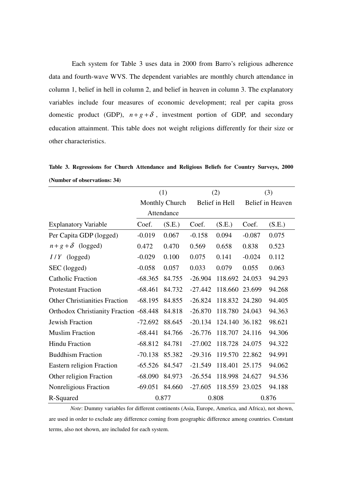Each system for Table 3 uses data in 2000 from Barro's religious adherence data and fourth-wave WVS. The dependent variables are monthly church attendance in column 1, belief in hell in column 2, and belief in heaven in column 3. The explanatory variables include four measures of economic development; real per capita gross domestic product (GDP),  $n+g+\delta$ , investment portion of GDP, and secondary education attainment. This table does not weight religions differently for their size or other characteristics.

**Table 3. Regressions for Church Attendance and Religious Beliefs for Country Surveys, 2000 (Number of observations: 34)**

|                                        | (1)            |            | (2)            |                | (3)              |        |
|----------------------------------------|----------------|------------|----------------|----------------|------------------|--------|
|                                        | Monthly Church |            | Belief in Hell |                | Belief in Heaven |        |
|                                        |                | Attendance |                |                |                  |        |
| <b>Explanatory Variable</b>            | Coef.          | (S.E.)     | Coef.          | (S.E.)         | Coef.            | (S.E.) |
| Per Capita GDP (logged)                | $-0.019$       | 0.067      | $-0.158$       | 0.094          | $-0.087$         | 0.075  |
| $n+g+\delta$ (logged)                  | 0.472          | 0.470      | 0.569          | 0.658          | 0.838            | 0.523  |
| $I/Y$ (logged)                         | $-0.029$       | 0.100      | 0.075          | 0.141          | $-0.024$         | 0.112  |
| SEC (logged)                           | $-0.058$       | 0.057      | 0.033          | 0.079          | 0.055            | 0.063  |
| <b>Catholic Fraction</b>               | $-68.365$      | 84.755     | $-26.904$      | 118.692 24.053 |                  | 94.293 |
| <b>Protestant Fraction</b>             | $-68.461$      | 84.732     | $-27.442$      | 118.660        | 23.699           | 94.268 |
| <b>Other Christianities Fraction</b>   | $-68.195$      | 84.855     | $-26.824$      | 118.832 24.280 |                  | 94.405 |
| Orthodox Christianity Fraction -68.448 |                | 84.818     | $-26.870$      | 118.780 24.043 |                  | 94.363 |
| <b>Jewish Fraction</b>                 | $-72.692$      | 88.645     | $-20.134$      | 124.140 36.182 |                  | 98.621 |
| <b>Muslim Fraction</b>                 | $-68.441$      | 84.766     | $-26.776$      | 118.707        | 24.116           | 94.306 |
| <b>Hindu Fraction</b>                  | $-68.812$      | 84.781     | $-27.002$      | 118.728 24.075 |                  | 94.322 |
| <b>Buddhism Fraction</b>               | $-70.138$      | 85.382     | $-29.316$      | 119.570        | 22.862           | 94.991 |
| <b>Eastern religion Fraction</b>       | $-65.526$      | 84.547     | $-21.549$      | 118.401        | 25.175           | 94.062 |
| Other religion Fraction                | $-68.090$      | 84.973     | $-26.554$      | 118.998 24.627 |                  | 94.536 |
| Nonreligious Fraction                  | $-69.051$      | 84.660     | $-27.605$      | 118.559 23.025 |                  | 94.188 |
| R-Squared                              |                | 0.877      |                | 0.808          |                  | 0.876  |

*Note*: Dummy variables for different continents (Asia, Europe, America, and Africa), not shown, are used in order to exclude any difference coming from geographic difference among countries. Constant terms, also not shown, are included for each system.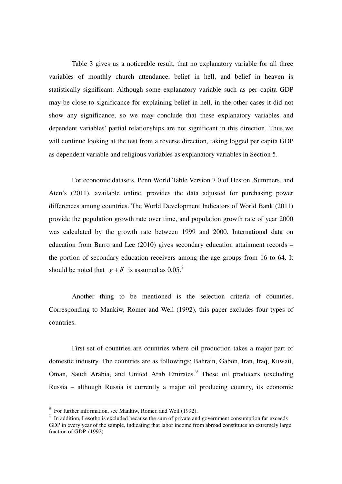Table 3 gives us a noticeable result, that no explanatory variable for all three variables of monthly church attendance, belief in hell, and belief in heaven is statistically significant. Although some explanatory variable such as per capita GDP may be close to significance for explaining belief in hell, in the other cases it did not show any significance, so we may conclude that these explanatory variables and dependent variables' partial relationships are not significant in this direction. Thus we will continue looking at the test from a reverse direction, taking logged per capita GDP as dependent variable and religious variables as explanatory variables in Section 5.

 For economic datasets, Penn World Table Version 7.0 of Heston, Summers, and Aten's (2011), available online, provides the data adjusted for purchasing power differences among countries. The World Development Indicators of World Bank (2011) provide the population growth rate over time, and population growth rate of year 2000 was calculated by the growth rate between 1999 and 2000. International data on education from Barro and Lee (2010) gives secondary education attainment records – the portion of secondary education receivers among the age groups from 16 to 64. It should be noted that  $g + \delta$  is assumed as 0.05.<sup>8</sup>

 Another thing to be mentioned is the selection criteria of countries. Corresponding to Mankiw, Romer and Weil (1992), this paper excludes four types of countries.

 First set of countries are countries where oil production takes a major part of domestic industry. The countries are as followings; Bahrain, Gabon, Iran, Iraq, Kuwait, Oman, Saudi Arabia, and United Arab Emirates.<sup>9</sup> These oil producers (excluding Russia – although Russia is currently a major oil producing country, its economic

ı

<sup>8</sup> For further information, see Mankiw, Romer, and Weil (1992).

 $9 \text{ In addition, }$  Lesotho is excluded because the sum of private and government consumption far exceeds GDP in every year of the sample, indicating that labor income from abroad constitutes an extremely large fraction of GDP. (1992)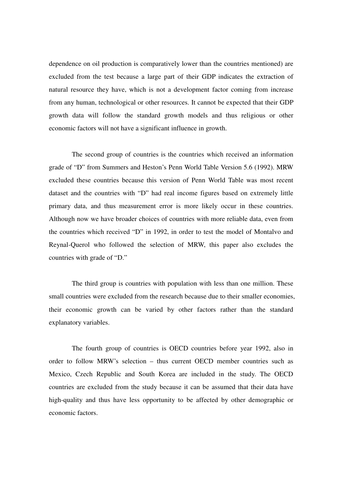dependence on oil production is comparatively lower than the countries mentioned) are excluded from the test because a large part of their GDP indicates the extraction of natural resource they have, which is not a development factor coming from increase from any human, technological or other resources. It cannot be expected that their GDP growth data will follow the standard growth models and thus religious or other economic factors will not have a significant influence in growth.

 The second group of countries is the countries which received an information grade of "D" from Summers and Heston's Penn World Table Version 5.6 (1992). MRW excluded these countries because this version of Penn World Table was most recent dataset and the countries with "D" had real income figures based on extremely little primary data, and thus measurement error is more likely occur in these countries. Although now we have broader choices of countries with more reliable data, even from the countries which received "D" in 1992, in order to test the model of Montalvo and Reynal-Querol who followed the selection of MRW, this paper also excludes the countries with grade of "D."

 The third group is countries with population with less than one million. These small countries were excluded from the research because due to their smaller economies, their economic growth can be varied by other factors rather than the standard explanatory variables.

 The fourth group of countries is OECD countries before year 1992, also in order to follow MRW's selection – thus current OECD member countries such as Mexico, Czech Republic and South Korea are included in the study. The OECD countries are excluded from the study because it can be assumed that their data have high-quality and thus have less opportunity to be affected by other demographic or economic factors.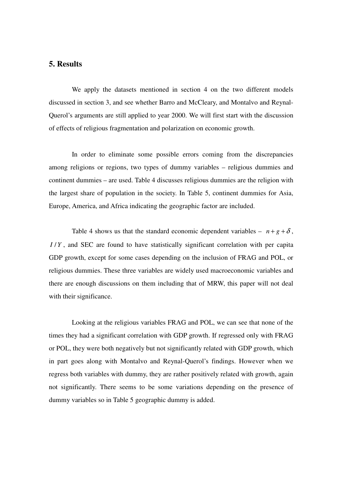## **5. Results**

 We apply the datasets mentioned in section 4 on the two different models discussed in section 3, and see whether Barro and McCleary, and Montalvo and Reynal-Querol's arguments are still applied to year 2000. We will first start with the discussion of effects of religious fragmentation and polarization on economic growth.

 In order to eliminate some possible errors coming from the discrepancies among religions or regions, two types of dummy variables – religious dummies and continent dummies – are used. Table 4 discusses religious dummies are the religion with the largest share of population in the society. In Table 5, continent dummies for Asia, Europe, America, and Africa indicating the geographic factor are included.

Table 4 shows us that the standard economic dependent variables –  $n + g + \delta$ , *I/Y*, and SEC are found to have statistically significant correlation with per capita GDP growth, except for some cases depending on the inclusion of FRAG and POL, or religious dummies. These three variables are widely used macroeconomic variables and there are enough discussions on them including that of MRW, this paper will not deal with their significance.

 Looking at the religious variables FRAG and POL, we can see that none of the times they had a significant correlation with GDP growth. If regressed only with FRAG or POL, they were both negatively but not significantly related with GDP growth, which in part goes along with Montalvo and Reynal-Querol's findings. However when we regress both variables with dummy, they are rather positively related with growth, again not significantly. There seems to be some variations depending on the presence of dummy variables so in Table 5 geographic dummy is added.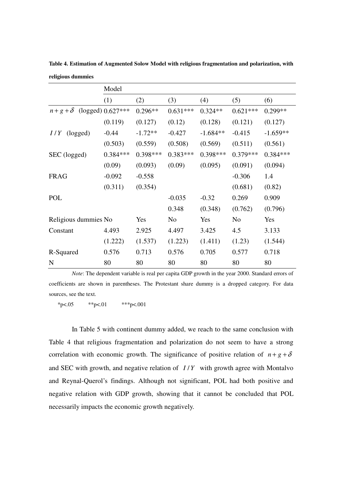|                      | Model               |            |                |            |                |            |
|----------------------|---------------------|------------|----------------|------------|----------------|------------|
|                      | (1)                 | (2)        | (3)            | (4)        | (5)            | (6)        |
| $n+g+\delta$         | $(logged)$ 0.627*** | $0.296**$  | $0.631***$     | $0.324**$  | $0.621***$     | $0.299**$  |
|                      | (0.119)             | (0.127)    | (0.12)         | (0.128)    | (0.121)        | (0.127)    |
| I/Y<br>(logged)      | $-0.44$             | $-1.72**$  | $-0.427$       | $-1.684**$ | $-0.415$       | $-1.659**$ |
|                      | (0.503)             | (0.559)    | (0.508)        | (0.569)    | (0.511)        | (0.561)    |
| SEC (logged)         | $0.384***$          | $0.398***$ | $0.383***$     | $0.398***$ | $0.379***$     | $0.384***$ |
|                      | (0.09)              | (0.093)    | (0.09)         | (0.095)    | (0.091)        | (0.094)    |
| <b>FRAG</b>          | $-0.092$            | $-0.558$   |                |            | $-0.306$       | 1.4        |
|                      | (0.311)             | (0.354)    |                |            | (0.681)        | (0.82)     |
| POL                  |                     |            | $-0.035$       | $-0.32$    | 0.269          | 0.909      |
|                      |                     |            | 0.348          | (0.348)    | (0.762)        | (0.796)    |
| Religious dummies No |                     | Yes        | N <sub>o</sub> | Yes        | N <sub>o</sub> | Yes        |
| Constant             | 4.493               | 2.925      | 4.497          | 3.425      | 4.5            | 3.133      |
|                      | (1.222)             | (1.537)    | (1.223)        | (1.411)    | (1.23)         | (1.544)    |
| R-Squared            | 0.576               | 0.713      | 0.576          | 0.705      | 0.577          | 0.718      |
| N                    | 80                  | 80         | 80             | 80         | 80             | 80         |

**Table 4. Estimation of Augmented Solow Model with religious fragmentation and polarization, with religious dummies** 

*Note*: The dependent variable is real per capita GDP growth in the year 2000. Standard errors of coefficients are shown in parentheses. The Protestant share dummy is a dropped category. For data sources, see the text.

\*p<.05 \*\*p<.01 \*\*\*p<.001

 In Table 5 with continent dummy added, we reach to the same conclusion with Table 4 that religious fragmentation and polarization do not seem to have a strong correlation with economic growth. The significance of positive relation of  $n + g + \delta$ and SEC with growth, and negative relation of  $I/Y$  with growth agree with Montalvo and Reynal-Querol's findings. Although not significant, POL had both positive and negative relation with GDP growth, showing that it cannot be concluded that POL necessarily impacts the economic growth negatively.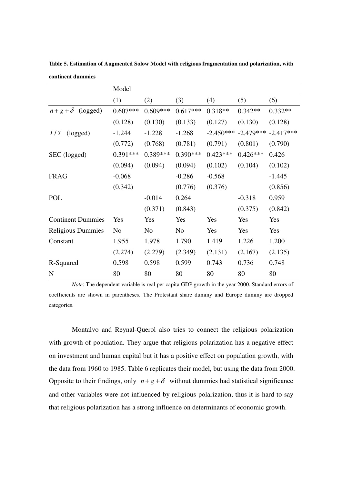|                          | Model          |            |                |             |             |             |
|--------------------------|----------------|------------|----------------|-------------|-------------|-------------|
|                          | (1)            | (2)        | (3)            | (4)         | (5)         | (6)         |
| $n+g+\delta$<br>(logged) | $0.607***$     | $0.609***$ | $0.617***$     | $0.318**$   | $0.342**$   | $0.332**$   |
|                          | (0.128)        | (0.130)    | (0.133)        | (0.127)     | (0.130)     | (0.128)     |
| (logged)<br>I/Y          | $-1.244$       | $-1.228$   | $-1.268$       | $-2.450***$ | $-2.479***$ | $-2.417***$ |
|                          | (0.772)        | (0.768)    | (0.781)        | (0.791)     | (0.801)     | (0.790)     |
| SEC (logged)             | $0.391***$     | 0.389***   | $0.390***$     | $0.423***$  | $0.426***$  | 0.426       |
|                          | (0.094)        | (0.094)    | (0.094)        | (0.102)     | (0.104)     | (0.102)     |
| <b>FRAG</b>              | $-0.068$       |            | $-0.286$       | $-0.568$    |             | $-1.445$    |
|                          | (0.342)        |            | (0.776)        | (0.376)     |             | (0.856)     |
| POL                      |                | $-0.014$   | 0.264          |             | $-0.318$    | 0.959       |
|                          |                | (0.371)    | (0.843)        |             | (0.375)     | (0.842)     |
| <b>Continent Dummies</b> | Yes            | Yes        | Yes            | Yes         | Yes         | Yes         |
| <b>Religious Dummies</b> | N <sub>0</sub> | No         | N <sub>o</sub> | Yes         | Yes         | Yes         |
| Constant                 | 1.955          | 1.978      | 1.790          | 1.419       | 1.226       | 1.200       |
|                          | (2.274)        | (2.279)    | (2.349)        | (2.131)     | (2.167)     | (2.135)     |
| R-Squared                | 0.598          | 0.598      | 0.599          | 0.743       | 0.736       | 0.748       |
| N                        | 80             | 80         | 80             | 80          | 80          | 80          |

**Table 5. Estimation of Augmented Solow Model with religious fragmentation and polarization, with continent dummies** 

 *Note*: The dependent variable is real per capita GDP growth in the year 2000. Standard errors of coefficients are shown in parentheses. The Protestant share dummy and Europe dummy are dropped categories.

 Montalvo and Reynal-Querol also tries to connect the religious polarization with growth of population. They argue that religious polarization has a negative effect on investment and human capital but it has a positive effect on population growth, with the data from 1960 to 1985. Table 6 replicates their model, but using the data from 2000. Opposite to their findings, only  $n + g + \delta$  without dummies had statistical significance and other variables were not influenced by religious polarization, thus it is hard to say that religious polarization has a strong influence on determinants of economic growth.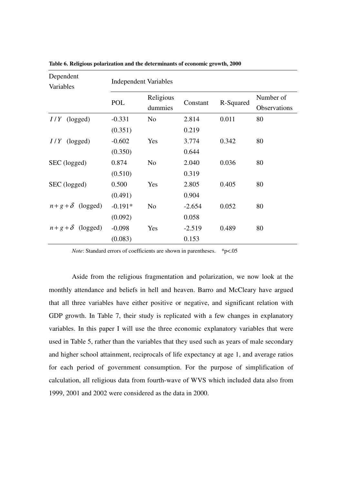| Dependent<br>Variables | <b>Independent Variables</b> |                      |          |           |                           |  |  |
|------------------------|------------------------------|----------------------|----------|-----------|---------------------------|--|--|
|                        | POL                          | Religious<br>dummies | Constant | R-Squared | Number of<br>Observations |  |  |
| $I/Y$ (logged)         | $-0.331$                     | N <sub>0</sub>       | 2.814    | 0.011     | 80                        |  |  |
|                        | (0.351)                      |                      | 0.219    |           |                           |  |  |
| $I/Y$ (logged)         | $-0.602$                     | Yes                  | 3.774    | 0.342     | 80                        |  |  |
|                        | (0.350)                      |                      | 0.644    |           |                           |  |  |
| SEC (logged)           | 0.874                        | N <sub>o</sub>       | 2.040    | 0.036     | 80                        |  |  |
|                        | (0.510)                      |                      | 0.319    |           |                           |  |  |
| SEC (logged)           | 0.500                        | Yes                  | 2.805    | 0.405     | 80                        |  |  |
|                        | (0.491)                      |                      | 0.904    |           |                           |  |  |
| $n+g+\delta$ (logged)  | $-0.191*$                    | N <sub>o</sub>       | $-2.654$ | 0.052     | 80                        |  |  |
|                        | (0.092)                      |                      | 0.058    |           |                           |  |  |
| $n+g+\delta$ (logged)  | $-0.098$                     | Yes                  | $-2.519$ | 0.489     | 80                        |  |  |
|                        | (0.083)                      |                      | 0.153    |           |                           |  |  |

**Table 6. Religious polarization and the determinants of economic growth, 2000** 

*Note*: Standard errors of coefficients are shown in parentheses. \*p<.05

 Aside from the religious fragmentation and polarization, we now look at the monthly attendance and beliefs in hell and heaven. Barro and McCleary have argued that all three variables have either positive or negative, and significant relation with GDP growth. In Table 7, their study is replicated with a few changes in explanatory variables. In this paper I will use the three economic explanatory variables that were used in Table 5, rather than the variables that they used such as years of male secondary and higher school attainment, reciprocals of life expectancy at age 1, and average ratios for each period of government consumption. For the purpose of simplification of calculation, all religious data from fourth-wave of WVS which included data also from 1999, 2001 and 2002 were considered as the data in 2000.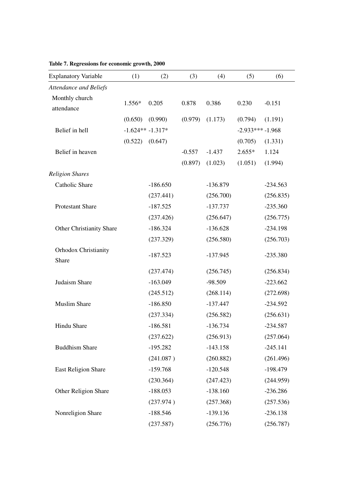| <b>Explanatory Variable</b>          | (1)     | (2)                | (3)      | (4)        | (5)               | (6)        |
|--------------------------------------|---------|--------------------|----------|------------|-------------------|------------|
| <b>Attendance and Beliefs</b>        |         |                    |          |            |                   |            |
| Monthly church<br>attendance         | 1.556*  | 0.205              | 0.878    | 0.386      | 0.230             | $-0.151$   |
|                                      | (0.650) | (0.990)            | (0.979)  | (1.173)    | (0.794)           | (1.191)    |
| Belief in hell                       |         | $-1.624** -1.317*$ |          |            | $-2.933***-1.968$ |            |
|                                      | (0.522) | (0.647)            |          |            | (0.705)           | (1.331)    |
| Belief in heaven                     |         |                    | $-0.557$ | $-1.437$   | $2.655*$          | 1.124      |
|                                      |         |                    | (0.897)  | (1.023)    | (1.051)           | (1.994)    |
| <b>Religion Shares</b>               |         |                    |          |            |                   |            |
| <b>Catholic Share</b>                |         | $-186.650$         |          | $-136.879$ |                   | $-234.563$ |
|                                      |         | (237.441)          |          | (256.700)  |                   | (256.835)  |
| Protestant Share                     |         | $-187.525$         |          | $-137.737$ |                   | $-235.360$ |
|                                      |         | (237.426)          |          | (256.647)  |                   | (256.775)  |
| <b>Other Christianity Share</b>      |         | $-186.324$         |          | $-136.628$ |                   | $-234.198$ |
|                                      |         | (237.329)          |          | (256.580)  |                   | (256.703)  |
| <b>Orhodox Christianity</b><br>Share |         | $-187.523$         |          | $-137.945$ |                   | $-235.380$ |
|                                      |         | (237.474)          |          | (256.745)  |                   | (256.834)  |
| Judaism Share                        |         | $-163.049$         |          | $-98.509$  |                   | $-223.662$ |
|                                      |         | (245.512)          |          | (268.114)  |                   | (272.698)  |
| <b>Muslim Share</b>                  |         | $-186.850$         |          | $-137.447$ |                   | $-234.592$ |
|                                      |         | (237.334)          |          | (256.582)  |                   | (256.631)  |
| <b>Hindu Share</b>                   |         | $-186.581$         |          | $-136.734$ |                   | $-234.587$ |
|                                      |         | (237.622)          |          | (256.913)  |                   | (257.064)  |
| <b>Buddhism Share</b>                |         | $-195.282$         |          | $-143.158$ |                   | $-245.141$ |
|                                      |         | (241.087)          |          | (260.882)  |                   | (261.496)  |
| <b>East Religion Share</b>           |         | $-159.768$         |          | $-120.548$ |                   | $-198.479$ |
|                                      |         | (230.364)          |          | (247.423)  |                   | (244.959)  |
| Other Religion Share                 |         | $-188.053$         |          | $-138.160$ |                   | $-236.286$ |
|                                      |         | (237.974)          |          | (257.368)  |                   | (257.536)  |
| Nonreligion Share                    |         | $-188.546$         |          | $-139.136$ |                   | $-236.138$ |
|                                      |         | (237.587)          |          | (256.776)  |                   | (256.787)  |

# **Table 7. Regressions for economic growth, 2000**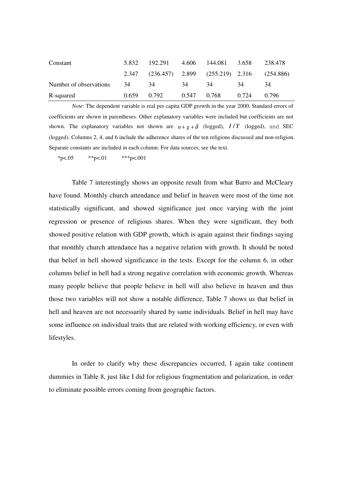| Constant               | 5.832       | 192.291 4.606 144.081                           |             |     | 3.658 | 238.478 |
|------------------------|-------------|-------------------------------------------------|-------------|-----|-------|---------|
|                        |             | 2.347 (236.457) 2.899 (255.219) 2.316 (254.886) |             |     |       |         |
| Number of observations | 34          | - 34                                            | -34         | -34 | 34    | 34      |
| R-squared              | 0.659 0.792 |                                                 | 0.547 0.768 |     | 0.724 | 0.796   |

 *Note*: The dependent variable is real per capita GDP growth in the year 2000. Standard errors of coefficients are shown in parentheses. Other explanatory variables were included but coefficients are not shown. The explanatory variables not shown are  $n + g + \delta$  (logged),  $I/Y$  (logged), and SEC (logged). Columns 2, 4, and 6 include the adherence shares of the ten religions discussed and non-religion. Separate constants are included in each column. For data sources, see the text.

\*p<.05 \*\*p<.01 \*\*\*p<.001

 Table 7 interestingly shows an opposite result from what Barro and McCleary have found. Monthly church attendance and belief in heaven were most of the time not statistically significant, and showed significance just once varying with the joint regression or presence of religious shares. When they were significant, they both showed positive relation with GDP growth, which is again against their findings saying that monthly church attendance has a negative relation with growth. It should be noted that belief in hell showed significance in the tests. Except for the column 6, in other columns belief in hell had a strong negative correlation with economic growth. Whereas many people believe that people believe in hell will also believe in heaven and thus those two variables will not show a notable difference, Table 7 shows us that belief in hell and heaven are not necessarily shared by same individuals. Belief in hell may have some influence on individual traits that are related with working efficiency, or even with lifestyles.

 In order to clarify why these discrepancies occurred, I again take continent dummies in Table 8, just like I did for religious fragmentation and polarization, in order to eliminate possible errors coming from geographic factors.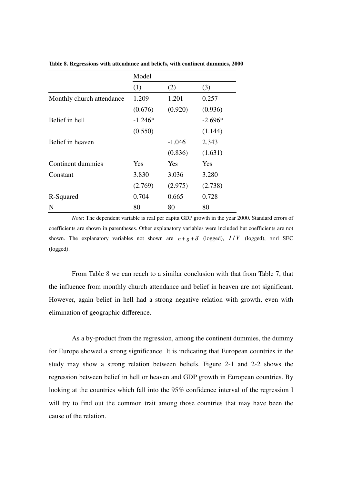|                           | Model      |          |            |
|---------------------------|------------|----------|------------|
|                           | (1)        | (2)      | (3)        |
| Monthly church attendance | 1.209      | 1.201    | 0.257      |
|                           | (0.676)    | (0.920)  | (0.936)    |
| Belief in hell            | $-1.246*$  |          | $-2.696*$  |
|                           | (0.550)    |          | (1.144)    |
| Belief in heaven          |            | $-1.046$ | 2.343      |
|                           |            | (0.836)  | (1.631)    |
| Continent dummies         | <b>Yes</b> | Yes      | <b>Yes</b> |
| Constant                  | 3.830      | 3.036    | 3.280      |
|                           | (2.769)    | (2.975)  | (2.738)    |
| R-Squared                 | 0.704      | 0.665    | 0.728      |
| N                         | 80         | 80       | 80         |

**Table 8. Regressions with attendance and beliefs, with continent dummies, 2000** 

 *Note*: The dependent variable is real per capita GDP growth in the year 2000. Standard errors of coefficients are shown in parentheses. Other explanatory variables were included but coefficients are not shown. The explanatory variables not shown are  $n + g + \delta$  (logged),  $I/Y$  (logged), and SEC (logged).

 From Table 8 we can reach to a similar conclusion with that from Table 7, that the influence from monthly church attendance and belief in heaven are not significant. However, again belief in hell had a strong negative relation with growth, even with elimination of geographic difference.

 As a by-product from the regression, among the continent dummies, the dummy for Europe showed a strong significance. It is indicating that European countries in the study may show a strong relation between beliefs. Figure 2-1 and 2-2 shows the regression between belief in hell or heaven and GDP growth in European countries. By looking at the countries which fall into the 95% confidence interval of the regression I will try to find out the common trait among those countries that may have been the cause of the relation.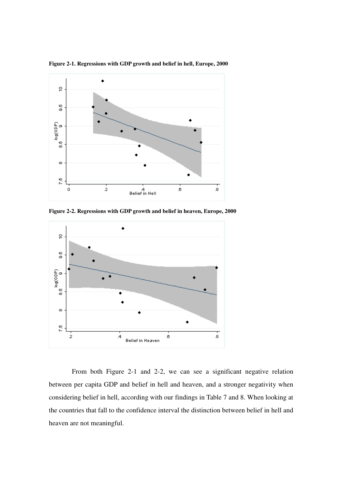

**Figure 2-1. Regressions with GDP growth and belief in hell, Europe, 2000** 

**Figure 2-2. Regressions with GDP growth and belief in heaven, Europe, 2000** 



 From both Figure 2-1 and 2-2, we can see a significant negative relation between per capita GDP and belief in hell and heaven, and a stronger negativity when considering belief in hell, according with our findings in Table 7 and 8. When looking at the countries that fall to the confidence interval the distinction between belief in hell and heaven are not meaningful.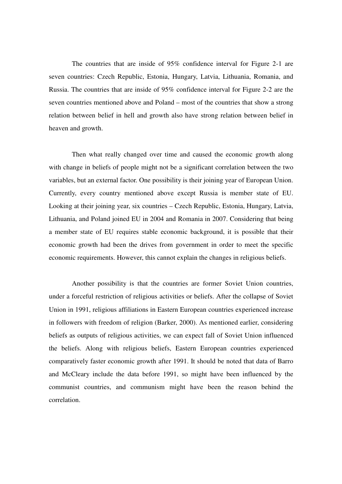The countries that are inside of 95% confidence interval for Figure 2-1 are seven countries: Czech Republic, Estonia, Hungary, Latvia, Lithuania, Romania, and Russia. The countries that are inside of 95% confidence interval for Figure 2-2 are the seven countries mentioned above and Poland – most of the countries that show a strong relation between belief in hell and growth also have strong relation between belief in heaven and growth.

 Then what really changed over time and caused the economic growth along with change in beliefs of people might not be a significant correlation between the two variables, but an external factor. One possibility is their joining year of European Union. Currently, every country mentioned above except Russia is member state of EU. Looking at their joining year, six countries – Czech Republic, Estonia, Hungary, Latvia, Lithuania, and Poland joined EU in 2004 and Romania in 2007. Considering that being a member state of EU requires stable economic background, it is possible that their economic growth had been the drives from government in order to meet the specific economic requirements. However, this cannot explain the changes in religious beliefs.

 Another possibility is that the countries are former Soviet Union countries, under a forceful restriction of religious activities or beliefs. After the collapse of Soviet Union in 1991, religious affiliations in Eastern European countries experienced increase in followers with freedom of religion (Barker, 2000). As mentioned earlier, considering beliefs as outputs of religious activities, we can expect fall of Soviet Union influenced the beliefs. Along with religious beliefs, Eastern European countries experienced comparatively faster economic growth after 1991. It should be noted that data of Barro and McCleary include the data before 1991, so might have been influenced by the communist countries, and communism might have been the reason behind the correlation.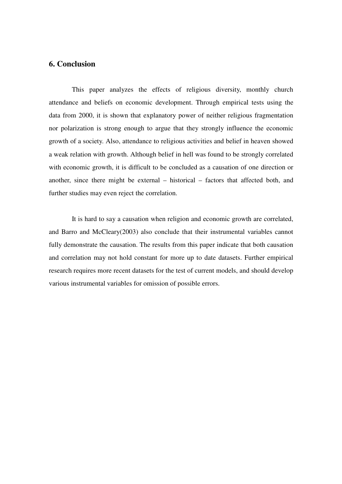# **6. Conclusion**

 This paper analyzes the effects of religious diversity, monthly church attendance and beliefs on economic development. Through empirical tests using the data from 2000, it is shown that explanatory power of neither religious fragmentation nor polarization is strong enough to argue that they strongly influence the economic growth of a society. Also, attendance to religious activities and belief in heaven showed a weak relation with growth. Although belief in hell was found to be strongly correlated with economic growth, it is difficult to be concluded as a causation of one direction or another, since there might be external – historical – factors that affected both, and further studies may even reject the correlation.

 It is hard to say a causation when religion and economic growth are correlated, and Barro and McCleary(2003) also conclude that their instrumental variables cannot fully demonstrate the causation. The results from this paper indicate that both causation and correlation may not hold constant for more up to date datasets. Further empirical research requires more recent datasets for the test of current models, and should develop various instrumental variables for omission of possible errors.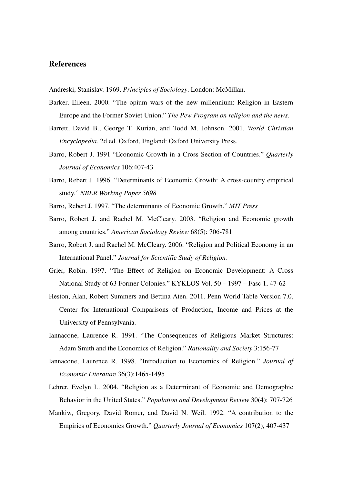## **References**

Andreski, Stanislav. 1969. *Principles of Sociology*. London: McMillan.

- Barker, Eileen. 2000. "The opium wars of the new millennium: Religion in Eastern Europe and the Former Soviet Union." *The Pew Program on religion and the news*.
- Barrett, David B., George T. Kurian, and Todd M. Johnson. 2001. *World Christian Encyclopedia*. 2d ed. Oxford, England: Oxford University Press.
- Barro, Robert J. 1991 "Economic Growth in a Cross Section of Countries." *Quarterly Journal of Economics* 106:407-43
- Barro, Rebert J. 1996. "Determinants of Economic Growth: A cross-country empirical study." *NBER Working Paper 5698*
- Barro, Rebert J. 1997. "The determinants of Economic Growth." *MIT Press*
- Barro, Robert J. and Rachel M. McCleary. 2003. "Religion and Economic growth among countries." *American Sociology Review* 68(5): 706-781
- Barro, Robert J. and Rachel M. McCleary. 2006. "Religion and Political Economy in an International Panel." *Journal for Scientific Study of Religion.*
- Grier, Robin. 1997. "The Effect of Religion on Economic Development: A Cross National Study of 63 Former Colonies." KYKLOS Vol. 50 – 1997 – Fasc 1, 47-62
- Heston, Alan, Robert Summers and Bettina Aten. 2011. Penn World Table Version 7.0, Center for International Comparisons of Production, Income and Prices at the University of Pennsylvania.
- Iannacone, Laurence R. 1991. "The Consequences of Religious Market Structures: Adam Smith and the Economics of Religion." *Rationality and Society* 3:156-77
- Iannacone, Laurence R. 1998. "Introduction to Economics of Religion." *Journal of Economic Literature* 36(3):1465-1495
- Lehrer, Evelyn L. 2004. "Religion as a Determinant of Economic and Demographic Behavior in the United States." *Population and Development Review* 30(4): 707-726
- Mankiw, Gregory, David Romer, and David N. Weil. 1992. "A contribution to the Empirics of Economics Growth." *Quarterly Journal of Economics* 107(2), 407-437